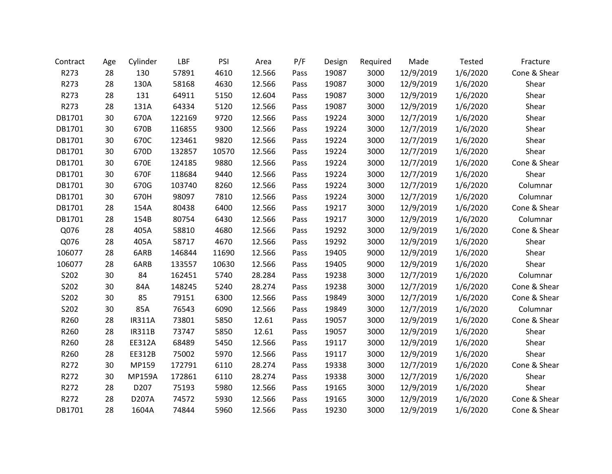| Contract | Age | Cylinder      | LBF    | PSI   | Area   | P/F  | Design | Required | Made      | Tested   | Fracture     |
|----------|-----|---------------|--------|-------|--------|------|--------|----------|-----------|----------|--------------|
| R273     | 28  | 130           | 57891  | 4610  | 12.566 | Pass | 19087  | 3000     | 12/9/2019 | 1/6/2020 | Cone & Shear |
| R273     | 28  | 130A          | 58168  | 4630  | 12.566 | Pass | 19087  | 3000     | 12/9/2019 | 1/6/2020 | Shear        |
| R273     | 28  | 131           | 64911  | 5150  | 12.604 | Pass | 19087  | 3000     | 12/9/2019 | 1/6/2020 | Shear        |
| R273     | 28  | 131A          | 64334  | 5120  | 12.566 | Pass | 19087  | 3000     | 12/9/2019 | 1/6/2020 | Shear        |
| DB1701   | 30  | 670A          | 122169 | 9720  | 12.566 | Pass | 19224  | 3000     | 12/7/2019 | 1/6/2020 | Shear        |
| DB1701   | 30  | 670B          | 116855 | 9300  | 12.566 | Pass | 19224  | 3000     | 12/7/2019 | 1/6/2020 | Shear        |
| DB1701   | 30  | 670C          | 123461 | 9820  | 12.566 | Pass | 19224  | 3000     | 12/7/2019 | 1/6/2020 | Shear        |
| DB1701   | 30  | 670D          | 132857 | 10570 | 12.566 | Pass | 19224  | 3000     | 12/7/2019 | 1/6/2020 | Shear        |
| DB1701   | 30  | 670E          | 124185 | 9880  | 12.566 | Pass | 19224  | 3000     | 12/7/2019 | 1/6/2020 | Cone & Shear |
| DB1701   | 30  | 670F          | 118684 | 9440  | 12.566 | Pass | 19224  | 3000     | 12/7/2019 | 1/6/2020 | Shear        |
| DB1701   | 30  | 670G          | 103740 | 8260  | 12.566 | Pass | 19224  | 3000     | 12/7/2019 | 1/6/2020 | Columnar     |
| DB1701   | 30  | 670H          | 98097  | 7810  | 12.566 | Pass | 19224  | 3000     | 12/7/2019 | 1/6/2020 | Columnar     |
| DB1701   | 28  | 154A          | 80438  | 6400  | 12.566 | Pass | 19217  | 3000     | 12/9/2019 | 1/6/2020 | Cone & Shear |
| DB1701   | 28  | 154B          | 80754  | 6430  | 12.566 | Pass | 19217  | 3000     | 12/9/2019 | 1/6/2020 | Columnar     |
| Q076     | 28  | 405A          | 58810  | 4680  | 12.566 | Pass | 19292  | 3000     | 12/9/2019 | 1/6/2020 | Cone & Shear |
| Q076     | 28  | 405A          | 58717  | 4670  | 12.566 | Pass | 19292  | 3000     | 12/9/2019 | 1/6/2020 | Shear        |
| 106077   | 28  | 6ARB          | 146844 | 11690 | 12.566 | Pass | 19405  | 9000     | 12/9/2019 | 1/6/2020 | Shear        |
| 106077   | 28  | 6ARB          | 133557 | 10630 | 12.566 | Pass | 19405  | 9000     | 12/9/2019 | 1/6/2020 | Shear        |
| S202     | 30  | 84            | 162451 | 5740  | 28.284 | Pass | 19238  | 3000     | 12/7/2019 | 1/6/2020 | Columnar     |
| S202     | 30  | 84A           | 148245 | 5240  | 28.274 | Pass | 19238  | 3000     | 12/7/2019 | 1/6/2020 | Cone & Shear |
| S202     | 30  | 85            | 79151  | 6300  | 12.566 | Pass | 19849  | 3000     | 12/7/2019 | 1/6/2020 | Cone & Shear |
| S202     | 30  | 85A           | 76543  | 6090  | 12.566 | Pass | 19849  | 3000     | 12/7/2019 | 1/6/2020 | Columnar     |
| R260     | 28  | <b>IR311A</b> | 73801  | 5850  | 12.61  | Pass | 19057  | 3000     | 12/9/2019 | 1/6/2020 | Cone & Shear |
| R260     | 28  | <b>IR311B</b> | 73747  | 5850  | 12.61  | Pass | 19057  | 3000     | 12/9/2019 | 1/6/2020 | Shear        |
| R260     | 28  | EE312A        | 68489  | 5450  | 12.566 | Pass | 19117  | 3000     | 12/9/2019 | 1/6/2020 | Shear        |
| R260     | 28  | <b>EE312B</b> | 75002  | 5970  | 12.566 | Pass | 19117  | 3000     | 12/9/2019 | 1/6/2020 | Shear        |
| R272     | 30  | MP159         | 172791 | 6110  | 28.274 | Pass | 19338  | 3000     | 12/7/2019 | 1/6/2020 | Cone & Shear |
| R272     | 30  | <b>MP159A</b> | 172861 | 6110  | 28.274 | Pass | 19338  | 3000     | 12/7/2019 | 1/6/2020 | Shear        |
| R272     | 28  | D207          | 75193  | 5980  | 12.566 | Pass | 19165  | 3000     | 12/9/2019 | 1/6/2020 | Shear        |
| R272     | 28  | D207A         | 74572  | 5930  | 12.566 | Pass | 19165  | 3000     | 12/9/2019 | 1/6/2020 | Cone & Shear |
| DB1701   | 28  | 1604A         | 74844  | 5960  | 12.566 | Pass | 19230  | 3000     | 12/9/2019 | 1/6/2020 | Cone & Shear |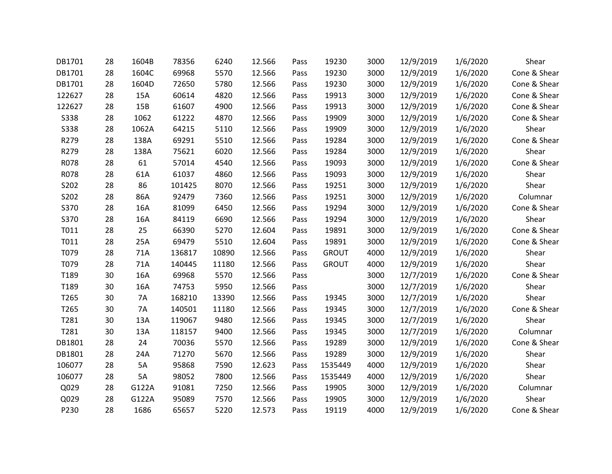| DB1701      | 28 | 1604B     | 78356  | 6240  | 12.566 | Pass | 19230        | 3000 | 12/9/2019 | 1/6/2020 | Shear        |
|-------------|----|-----------|--------|-------|--------|------|--------------|------|-----------|----------|--------------|
| DB1701      | 28 | 1604C     | 69968  | 5570  | 12.566 | Pass | 19230        | 3000 | 12/9/2019 | 1/6/2020 | Cone & Shear |
| DB1701      | 28 | 1604D     | 72650  | 5780  | 12.566 | Pass | 19230        | 3000 | 12/9/2019 | 1/6/2020 | Cone & Shear |
| 122627      | 28 | 15A       | 60614  | 4820  | 12.566 | Pass | 19913        | 3000 | 12/9/2019 | 1/6/2020 | Cone & Shear |
| 122627      | 28 | 15B       | 61607  | 4900  | 12.566 | Pass | 19913        | 3000 | 12/9/2019 | 1/6/2020 | Cone & Shear |
| <b>S338</b> | 28 | 1062      | 61222  | 4870  | 12.566 | Pass | 19909        | 3000 | 12/9/2019 | 1/6/2020 | Cone & Shear |
| <b>S338</b> | 28 | 1062A     | 64215  | 5110  | 12.566 | Pass | 19909        | 3000 | 12/9/2019 | 1/6/2020 | Shear        |
| R279        | 28 | 138A      | 69291  | 5510  | 12.566 | Pass | 19284        | 3000 | 12/9/2019 | 1/6/2020 | Cone & Shear |
| R279        | 28 | 138A      | 75621  | 6020  | 12.566 | Pass | 19284        | 3000 | 12/9/2019 | 1/6/2020 | Shear        |
| R078        | 28 | 61        | 57014  | 4540  | 12.566 | Pass | 19093        | 3000 | 12/9/2019 | 1/6/2020 | Cone & Shear |
| R078        | 28 | 61A       | 61037  | 4860  | 12.566 | Pass | 19093        | 3000 | 12/9/2019 | 1/6/2020 | Shear        |
| S202        | 28 | 86        | 101425 | 8070  | 12.566 | Pass | 19251        | 3000 | 12/9/2019 | 1/6/2020 | Shear        |
| S202        | 28 | 86A       | 92479  | 7360  | 12.566 | Pass | 19251        | 3000 | 12/9/2019 | 1/6/2020 | Columnar     |
| S370        | 28 | 16A       | 81099  | 6450  | 12.566 | Pass | 19294        | 3000 | 12/9/2019 | 1/6/2020 | Cone & Shear |
| S370        | 28 | 16A       | 84119  | 6690  | 12.566 | Pass | 19294        | 3000 | 12/9/2019 | 1/6/2020 | Shear        |
| T011        | 28 | 25        | 66390  | 5270  | 12.604 | Pass | 19891        | 3000 | 12/9/2019 | 1/6/2020 | Cone & Shear |
| T011        | 28 | 25A       | 69479  | 5510  | 12.604 | Pass | 19891        | 3000 | 12/9/2019 | 1/6/2020 | Cone & Shear |
| T079        | 28 | 71A       | 136817 | 10890 | 12.566 | Pass | <b>GROUT</b> | 4000 | 12/9/2019 | 1/6/2020 | Shear        |
| T079        | 28 | 71A       | 140445 | 11180 | 12.566 | Pass | <b>GROUT</b> | 4000 | 12/9/2019 | 1/6/2020 | Shear        |
| T189        | 30 | 16A       | 69968  | 5570  | 12.566 | Pass |              | 3000 | 12/7/2019 | 1/6/2020 | Cone & Shear |
| T189        | 30 | 16A       | 74753  | 5950  | 12.566 | Pass |              | 3000 | 12/7/2019 | 1/6/2020 | Shear        |
| T265        | 30 | 7A        | 168210 | 13390 | 12.566 | Pass | 19345        | 3000 | 12/7/2019 | 1/6/2020 | Shear        |
| T265        | 30 | <b>7A</b> | 140501 | 11180 | 12.566 | Pass | 19345        | 3000 | 12/7/2019 | 1/6/2020 | Cone & Shear |
| T281        | 30 | 13A       | 119067 | 9480  | 12.566 | Pass | 19345        | 3000 | 12/7/2019 | 1/6/2020 | Shear        |
| T281        | 30 | 13A       | 118157 | 9400  | 12.566 | Pass | 19345        | 3000 | 12/7/2019 | 1/6/2020 | Columnar     |
| DB1801      | 28 | 24        | 70036  | 5570  | 12.566 | Pass | 19289        | 3000 | 12/9/2019 | 1/6/2020 | Cone & Shear |
| DB1801      | 28 | 24A       | 71270  | 5670  | 12.566 | Pass | 19289        | 3000 | 12/9/2019 | 1/6/2020 | Shear        |
| 106077      | 28 | 5A        | 95868  | 7590  | 12.623 | Pass | 1535449      | 4000 | 12/9/2019 | 1/6/2020 | Shear        |
| 106077      | 28 | 5A        | 98052  | 7800  | 12.566 | Pass | 1535449      | 4000 | 12/9/2019 | 1/6/2020 | Shear        |
| Q029        | 28 | G122A     | 91081  | 7250  | 12.566 | Pass | 19905        | 3000 | 12/9/2019 | 1/6/2020 | Columnar     |
| Q029        | 28 | G122A     | 95089  | 7570  | 12.566 | Pass | 19905        | 3000 | 12/9/2019 | 1/6/2020 | Shear        |
| P230        | 28 | 1686      | 65657  | 5220  | 12.573 | Pass | 19119        | 4000 | 12/9/2019 | 1/6/2020 | Cone & Shear |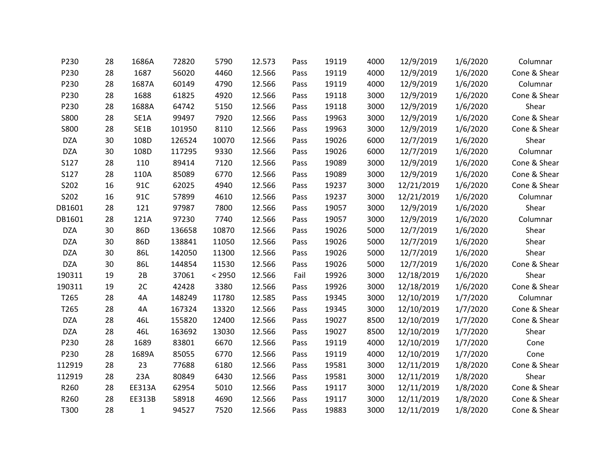| P230        | 28 | 1686A        | 72820  | 5790   | 12.573 | Pass | 19119 | 4000 | 12/9/2019  | 1/6/2020 | Columnar     |
|-------------|----|--------------|--------|--------|--------|------|-------|------|------------|----------|--------------|
| P230        | 28 | 1687         | 56020  | 4460   | 12.566 | Pass | 19119 | 4000 | 12/9/2019  | 1/6/2020 | Cone & Shear |
| P230        | 28 | 1687A        | 60149  | 4790   | 12.566 | Pass | 19119 | 4000 | 12/9/2019  | 1/6/2020 | Columnar     |
| P230        | 28 | 1688         | 61825  | 4920   | 12.566 | Pass | 19118 | 3000 | 12/9/2019  | 1/6/2020 | Cone & Shear |
| P230        | 28 | 1688A        | 64742  | 5150   | 12.566 | Pass | 19118 | 3000 | 12/9/2019  | 1/6/2020 | Shear        |
| <b>S800</b> | 28 | SE1A         | 99497  | 7920   | 12.566 | Pass | 19963 | 3000 | 12/9/2019  | 1/6/2020 | Cone & Shear |
| <b>S800</b> | 28 | SE1B         | 101950 | 8110   | 12.566 | Pass | 19963 | 3000 | 12/9/2019  | 1/6/2020 | Cone & Shear |
| <b>DZA</b>  | 30 | 108D         | 126524 | 10070  | 12.566 | Pass | 19026 | 6000 | 12/7/2019  | 1/6/2020 | Shear        |
| <b>DZA</b>  | 30 | 108D         | 117295 | 9330   | 12.566 | Pass | 19026 | 6000 | 12/7/2019  | 1/6/2020 | Columnar     |
| S127        | 28 | 110          | 89414  | 7120   | 12.566 | Pass | 19089 | 3000 | 12/9/2019  | 1/6/2020 | Cone & Shear |
| S127        | 28 | 110A         | 85089  | 6770   | 12.566 | Pass | 19089 | 3000 | 12/9/2019  | 1/6/2020 | Cone & Shear |
| S202        | 16 | 91C          | 62025  | 4940   | 12.566 | Pass | 19237 | 3000 | 12/21/2019 | 1/6/2020 | Cone & Shear |
| S202        | 16 | 91C          | 57899  | 4610   | 12.566 | Pass | 19237 | 3000 | 12/21/2019 | 1/6/2020 | Columnar     |
| DB1601      | 28 | 121          | 97987  | 7800   | 12.566 | Pass | 19057 | 3000 | 12/9/2019  | 1/6/2020 | Shear        |
| DB1601      | 28 | 121A         | 97230  | 7740   | 12.566 | Pass | 19057 | 3000 | 12/9/2019  | 1/6/2020 | Columnar     |
| <b>DZA</b>  | 30 | 86D          | 136658 | 10870  | 12.566 | Pass | 19026 | 5000 | 12/7/2019  | 1/6/2020 | Shear        |
| <b>DZA</b>  | 30 | 86D          | 138841 | 11050  | 12.566 | Pass | 19026 | 5000 | 12/7/2019  | 1/6/2020 | Shear        |
| <b>DZA</b>  | 30 | 86L          | 142050 | 11300  | 12.566 | Pass | 19026 | 5000 | 12/7/2019  | 1/6/2020 | Shear        |
| <b>DZA</b>  | 30 | 86L          | 144854 | 11530  | 12.566 | Pass | 19026 | 5000 | 12/7/2019  | 1/6/2020 | Cone & Shear |
| 190311      | 19 | 2B           | 37061  | < 2950 | 12.566 | Fail | 19926 | 3000 | 12/18/2019 | 1/6/2020 | Shear        |
| 190311      | 19 | 2C           | 42428  | 3380   | 12.566 | Pass | 19926 | 3000 | 12/18/2019 | 1/6/2020 | Cone & Shear |
| T265        | 28 | 4A           | 148249 | 11780  | 12.585 | Pass | 19345 | 3000 | 12/10/2019 | 1/7/2020 | Columnar     |
| T265        | 28 | 4A           | 167324 | 13320  | 12.566 | Pass | 19345 | 3000 | 12/10/2019 | 1/7/2020 | Cone & Shear |
| <b>DZA</b>  | 28 | 46L          | 155820 | 12400  | 12.566 | Pass | 19027 | 8500 | 12/10/2019 | 1/7/2020 | Cone & Shear |
| <b>DZA</b>  | 28 | 46L          | 163692 | 13030  | 12.566 | Pass | 19027 | 8500 | 12/10/2019 | 1/7/2020 | Shear        |
| P230        | 28 | 1689         | 83801  | 6670   | 12.566 | Pass | 19119 | 4000 | 12/10/2019 | 1/7/2020 | Cone         |
| P230        | 28 | 1689A        | 85055  | 6770   | 12.566 | Pass | 19119 | 4000 | 12/10/2019 | 1/7/2020 | Cone         |
| 112919      | 28 | 23           | 77688  | 6180   | 12.566 | Pass | 19581 | 3000 | 12/11/2019 | 1/8/2020 | Cone & Shear |
| 112919      | 28 | 23A          | 80849  | 6430   | 12.566 | Pass | 19581 | 3000 | 12/11/2019 | 1/8/2020 | Shear        |
| R260        | 28 | EE313A       | 62954  | 5010   | 12.566 | Pass | 19117 | 3000 | 12/11/2019 | 1/8/2020 | Cone & Shear |
| R260        | 28 | EE313B       | 58918  | 4690   | 12.566 | Pass | 19117 | 3000 | 12/11/2019 | 1/8/2020 | Cone & Shear |
| T300        | 28 | $\mathbf{1}$ | 94527  | 7520   | 12.566 | Pass | 19883 | 3000 | 12/11/2019 | 1/8/2020 | Cone & Shear |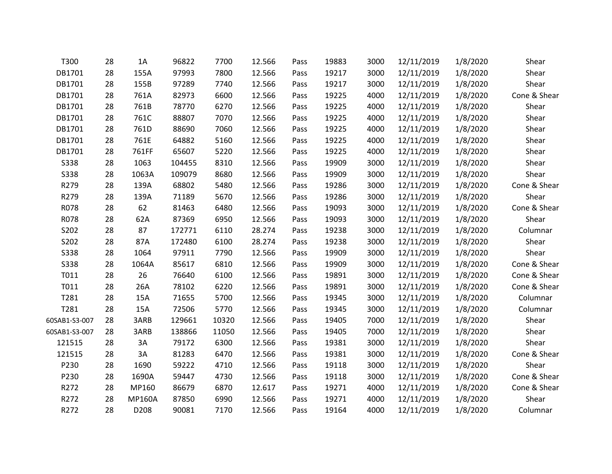| T300          | 28 | 1A            | 96822  | 7700  | 12.566 | Pass | 19883 | 3000 | 12/11/2019 | 1/8/2020 | Shear        |
|---------------|----|---------------|--------|-------|--------|------|-------|------|------------|----------|--------------|
| DB1701        | 28 | 155A          | 97993  | 7800  | 12.566 | Pass | 19217 | 3000 | 12/11/2019 | 1/8/2020 | Shear        |
| DB1701        | 28 | 155B          | 97289  | 7740  | 12.566 | Pass | 19217 | 3000 | 12/11/2019 | 1/8/2020 | Shear        |
| DB1701        | 28 | 761A          | 82973  | 6600  | 12.566 | Pass | 19225 | 4000 | 12/11/2019 | 1/8/2020 | Cone & Shear |
| DB1701        | 28 | 761B          | 78770  | 6270  | 12.566 | Pass | 19225 | 4000 | 12/11/2019 | 1/8/2020 | Shear        |
| DB1701        | 28 | 761C          | 88807  | 7070  | 12.566 | Pass | 19225 | 4000 | 12/11/2019 | 1/8/2020 | Shear        |
| DB1701        | 28 | 761D          | 88690  | 7060  | 12.566 | Pass | 19225 | 4000 | 12/11/2019 | 1/8/2020 | Shear        |
| DB1701        | 28 | 761E          | 64882  | 5160  | 12.566 | Pass | 19225 | 4000 | 12/11/2019 | 1/8/2020 | Shear        |
| DB1701        | 28 | 761FF         | 65607  | 5220  | 12.566 | Pass | 19225 | 4000 | 12/11/2019 | 1/8/2020 | Shear        |
| <b>S338</b>   | 28 | 1063          | 104455 | 8310  | 12.566 | Pass | 19909 | 3000 | 12/11/2019 | 1/8/2020 | Shear        |
| S338          | 28 | 1063A         | 109079 | 8680  | 12.566 | Pass | 19909 | 3000 | 12/11/2019 | 1/8/2020 | Shear        |
| R279          | 28 | 139A          | 68802  | 5480  | 12.566 | Pass | 19286 | 3000 | 12/11/2019 | 1/8/2020 | Cone & Shear |
| R279          | 28 | 139A          | 71189  | 5670  | 12.566 | Pass | 19286 | 3000 | 12/11/2019 | 1/8/2020 | Shear        |
| R078          | 28 | 62            | 81463  | 6480  | 12.566 | Pass | 19093 | 3000 | 12/11/2019 | 1/8/2020 | Cone & Shear |
| R078          | 28 | 62A           | 87369  | 6950  | 12.566 | Pass | 19093 | 3000 | 12/11/2019 | 1/8/2020 | Shear        |
| S202          | 28 | 87            | 172771 | 6110  | 28.274 | Pass | 19238 | 3000 | 12/11/2019 | 1/8/2020 | Columnar     |
| S202          | 28 | 87A           | 172480 | 6100  | 28.274 | Pass | 19238 | 3000 | 12/11/2019 | 1/8/2020 | Shear        |
| <b>S338</b>   | 28 | 1064          | 97911  | 7790  | 12.566 | Pass | 19909 | 3000 | 12/11/2019 | 1/8/2020 | Shear        |
| S338          | 28 | 1064A         | 85617  | 6810  | 12.566 | Pass | 19909 | 3000 | 12/11/2019 | 1/8/2020 | Cone & Shear |
| T011          | 28 | 26            | 76640  | 6100  | 12.566 | Pass | 19891 | 3000 | 12/11/2019 | 1/8/2020 | Cone & Shear |
| T011          | 28 | 26A           | 78102  | 6220  | 12.566 | Pass | 19891 | 3000 | 12/11/2019 | 1/8/2020 | Cone & Shear |
| T281          | 28 | 15A           | 71655  | 5700  | 12.566 | Pass | 19345 | 3000 | 12/11/2019 | 1/8/2020 | Columnar     |
| T281          | 28 | 15A           | 72506  | 5770  | 12.566 | Pass | 19345 | 3000 | 12/11/2019 | 1/8/2020 | Columnar     |
| 60SAB1-S3-007 | 28 | 3ARB          | 129661 | 10320 | 12.566 | Pass | 19405 | 7000 | 12/11/2019 | 1/8/2020 | Shear        |
| 60SAB1-S3-007 | 28 | 3ARB          | 138866 | 11050 | 12.566 | Pass | 19405 | 7000 | 12/11/2019 | 1/8/2020 | Shear        |
| 121515        | 28 | 3A            | 79172  | 6300  | 12.566 | Pass | 19381 | 3000 | 12/11/2019 | 1/8/2020 | Shear        |
| 121515        | 28 | 3A            | 81283  | 6470  | 12.566 | Pass | 19381 | 3000 | 12/11/2019 | 1/8/2020 | Cone & Shear |
| P230          | 28 | 1690          | 59222  | 4710  | 12.566 | Pass | 19118 | 3000 | 12/11/2019 | 1/8/2020 | Shear        |
| P230          | 28 | 1690A         | 59447  | 4730  | 12.566 | Pass | 19118 | 3000 | 12/11/2019 | 1/8/2020 | Cone & Shear |
| R272          | 28 | MP160         | 86679  | 6870  | 12.617 | Pass | 19271 | 4000 | 12/11/2019 | 1/8/2020 | Cone & Shear |
| R272          | 28 | <b>MP160A</b> | 87850  | 6990  | 12.566 | Pass | 19271 | 4000 | 12/11/2019 | 1/8/2020 | Shear        |
| R272          | 28 | D208          | 90081  | 7170  | 12.566 | Pass | 19164 | 4000 | 12/11/2019 | 1/8/2020 | Columnar     |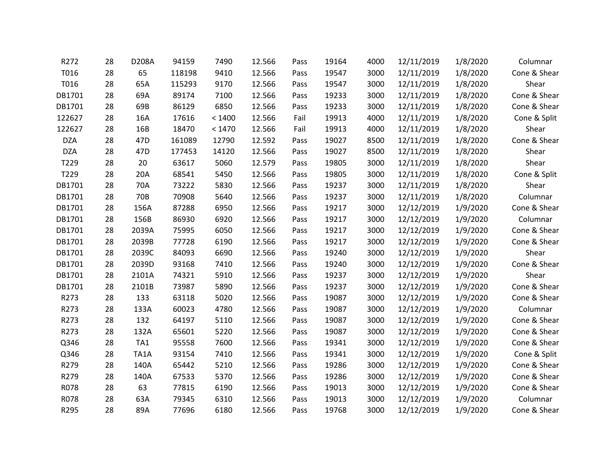| R272       | 28 | D208A           | 94159  | 7490   | 12.566 | Pass | 19164 | 4000 | 12/11/2019 | 1/8/2020 | Columnar     |
|------------|----|-----------------|--------|--------|--------|------|-------|------|------------|----------|--------------|
| T016       | 28 | 65              | 118198 | 9410   | 12.566 | Pass | 19547 | 3000 | 12/11/2019 | 1/8/2020 | Cone & Shear |
| T016       | 28 | 65A             | 115293 | 9170   | 12.566 | Pass | 19547 | 3000 | 12/11/2019 | 1/8/2020 | Shear        |
| DB1701     | 28 | 69A             | 89174  | 7100   | 12.566 | Pass | 19233 | 3000 | 12/11/2019 | 1/8/2020 | Cone & Shear |
| DB1701     | 28 | 69B             | 86129  | 6850   | 12.566 | Pass | 19233 | 3000 | 12/11/2019 | 1/8/2020 | Cone & Shear |
| 122627     | 28 | 16A             | 17616  | < 1400 | 12.566 | Fail | 19913 | 4000 | 12/11/2019 | 1/8/2020 | Cone & Split |
| 122627     | 28 | 16B             | 18470  | < 1470 | 12.566 | Fail | 19913 | 4000 | 12/11/2019 | 1/8/2020 | Shear        |
| <b>DZA</b> | 28 | 47 <sub>D</sub> | 161089 | 12790  | 12.592 | Pass | 19027 | 8500 | 12/11/2019 | 1/8/2020 | Cone & Shear |
| <b>DZA</b> | 28 | 47 <sub>D</sub> | 177453 | 14120  | 12.566 | Pass | 19027 | 8500 | 12/11/2019 | 1/8/2020 | Shear        |
| T229       | 28 | 20              | 63617  | 5060   | 12.579 | Pass | 19805 | 3000 | 12/11/2019 | 1/8/2020 | Shear        |
| T229       | 28 | 20A             | 68541  | 5450   | 12.566 | Pass | 19805 | 3000 | 12/11/2019 | 1/8/2020 | Cone & Split |
| DB1701     | 28 | 70A             | 73222  | 5830   | 12.566 | Pass | 19237 | 3000 | 12/11/2019 | 1/8/2020 | Shear        |
| DB1701     | 28 | 70B             | 70908  | 5640   | 12.566 | Pass | 19237 | 3000 | 12/11/2019 | 1/8/2020 | Columnar     |
| DB1701     | 28 | 156A            | 87288  | 6950   | 12.566 | Pass | 19217 | 3000 | 12/12/2019 | 1/9/2020 | Cone & Shear |
| DB1701     | 28 | 156B            | 86930  | 6920   | 12.566 | Pass | 19217 | 3000 | 12/12/2019 | 1/9/2020 | Columnar     |
| DB1701     | 28 | 2039A           | 75995  | 6050   | 12.566 | Pass | 19217 | 3000 | 12/12/2019 | 1/9/2020 | Cone & Shear |
| DB1701     | 28 | 2039B           | 77728  | 6190   | 12.566 | Pass | 19217 | 3000 | 12/12/2019 | 1/9/2020 | Cone & Shear |
| DB1701     | 28 | 2039C           | 84093  | 6690   | 12.566 | Pass | 19240 | 3000 | 12/12/2019 | 1/9/2020 | Shear        |
| DB1701     | 28 | 2039D           | 93168  | 7410   | 12.566 | Pass | 19240 | 3000 | 12/12/2019 | 1/9/2020 | Cone & Shear |
| DB1701     | 28 | 2101A           | 74321  | 5910   | 12.566 | Pass | 19237 | 3000 | 12/12/2019 | 1/9/2020 | Shear        |
| DB1701     | 28 | 2101B           | 73987  | 5890   | 12.566 | Pass | 19237 | 3000 | 12/12/2019 | 1/9/2020 | Cone & Shear |
| R273       | 28 | 133             | 63118  | 5020   | 12.566 | Pass | 19087 | 3000 | 12/12/2019 | 1/9/2020 | Cone & Shear |
| R273       | 28 | 133A            | 60023  | 4780   | 12.566 | Pass | 19087 | 3000 | 12/12/2019 | 1/9/2020 | Columnar     |
| R273       | 28 | 132             | 64197  | 5110   | 12.566 | Pass | 19087 | 3000 | 12/12/2019 | 1/9/2020 | Cone & Shear |
| R273       | 28 | 132A            | 65601  | 5220   | 12.566 | Pass | 19087 | 3000 | 12/12/2019 | 1/9/2020 | Cone & Shear |
| Q346       | 28 | TA1             | 95558  | 7600   | 12.566 | Pass | 19341 | 3000 | 12/12/2019 | 1/9/2020 | Cone & Shear |
| Q346       | 28 | TA1A            | 93154  | 7410   | 12.566 | Pass | 19341 | 3000 | 12/12/2019 | 1/9/2020 | Cone & Split |
| R279       | 28 | 140A            | 65442  | 5210   | 12.566 | Pass | 19286 | 3000 | 12/12/2019 | 1/9/2020 | Cone & Shear |
| R279       | 28 | 140A            | 67533  | 5370   | 12.566 | Pass | 19286 | 3000 | 12/12/2019 | 1/9/2020 | Cone & Shear |
| R078       | 28 | 63              | 77815  | 6190   | 12.566 | Pass | 19013 | 3000 | 12/12/2019 | 1/9/2020 | Cone & Shear |
| R078       | 28 | 63A             | 79345  | 6310   | 12.566 | Pass | 19013 | 3000 | 12/12/2019 | 1/9/2020 | Columnar     |
| R295       | 28 | 89A             | 77696  | 6180   | 12.566 | Pass | 19768 | 3000 | 12/12/2019 | 1/9/2020 | Cone & Shear |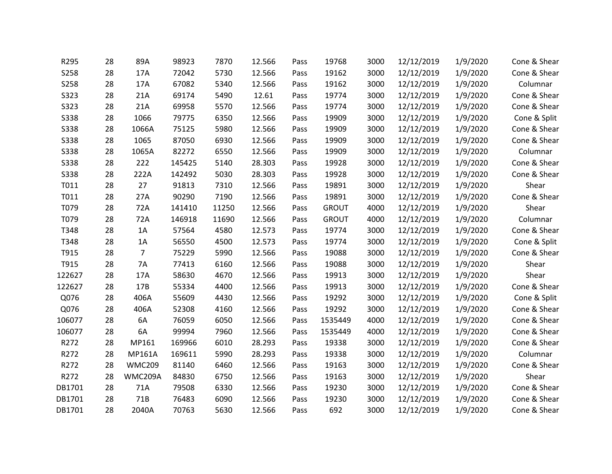| R295        | 28 | 89A            | 98923  | 7870  | 12.566 | Pass | 19768        | 3000 | 12/12/2019 | 1/9/2020 | Cone & Shear |
|-------------|----|----------------|--------|-------|--------|------|--------------|------|------------|----------|--------------|
| <b>S258</b> | 28 | 17A            | 72042  | 5730  | 12.566 | Pass | 19162        | 3000 | 12/12/2019 | 1/9/2020 | Cone & Shear |
| S258        | 28 | 17A            | 67082  | 5340  | 12.566 | Pass | 19162        | 3000 | 12/12/2019 | 1/9/2020 | Columnar     |
| S323        | 28 | 21A            | 69174  | 5490  | 12.61  | Pass | 19774        | 3000 | 12/12/2019 | 1/9/2020 | Cone & Shear |
| S323        | 28 | 21A            | 69958  | 5570  | 12.566 | Pass | 19774        | 3000 | 12/12/2019 | 1/9/2020 | Cone & Shear |
| <b>S338</b> | 28 | 1066           | 79775  | 6350  | 12.566 | Pass | 19909        | 3000 | 12/12/2019 | 1/9/2020 | Cone & Split |
| <b>S338</b> | 28 | 1066A          | 75125  | 5980  | 12.566 | Pass | 19909        | 3000 | 12/12/2019 | 1/9/2020 | Cone & Shear |
| <b>S338</b> | 28 | 1065           | 87050  | 6930  | 12.566 | Pass | 19909        | 3000 | 12/12/2019 | 1/9/2020 | Cone & Shear |
| <b>S338</b> | 28 | 1065A          | 82272  | 6550  | 12.566 | Pass | 19909        | 3000 | 12/12/2019 | 1/9/2020 | Columnar     |
| <b>S338</b> | 28 | 222            | 145425 | 5140  | 28.303 | Pass | 19928        | 3000 | 12/12/2019 | 1/9/2020 | Cone & Shear |
| <b>S338</b> | 28 | 222A           | 142492 | 5030  | 28.303 | Pass | 19928        | 3000 | 12/12/2019 | 1/9/2020 | Cone & Shear |
| T011        | 28 | 27             | 91813  | 7310  | 12.566 | Pass | 19891        | 3000 | 12/12/2019 | 1/9/2020 | Shear        |
| T011        | 28 | 27A            | 90290  | 7190  | 12.566 | Pass | 19891        | 3000 | 12/12/2019 | 1/9/2020 | Cone & Shear |
| T079        | 28 | 72A            | 141410 | 11250 | 12.566 | Pass | <b>GROUT</b> | 4000 | 12/12/2019 | 1/9/2020 | Shear        |
| T079        | 28 | 72A            | 146918 | 11690 | 12.566 | Pass | <b>GROUT</b> | 4000 | 12/12/2019 | 1/9/2020 | Columnar     |
| T348        | 28 | 1A             | 57564  | 4580  | 12.573 | Pass | 19774        | 3000 | 12/12/2019 | 1/9/2020 | Cone & Shear |
| T348        | 28 | 1A             | 56550  | 4500  | 12.573 | Pass | 19774        | 3000 | 12/12/2019 | 1/9/2020 | Cone & Split |
| T915        | 28 | $\overline{7}$ | 75229  | 5990  | 12.566 | Pass | 19088        | 3000 | 12/12/2019 | 1/9/2020 | Cone & Shear |
| T915        | 28 | <b>7A</b>      | 77413  | 6160  | 12.566 | Pass | 19088        | 3000 | 12/12/2019 | 1/9/2020 | Shear        |
| 122627      | 28 | 17A            | 58630  | 4670  | 12.566 | Pass | 19913        | 3000 | 12/12/2019 | 1/9/2020 | Shear        |
| 122627      | 28 | 17B            | 55334  | 4400  | 12.566 | Pass | 19913        | 3000 | 12/12/2019 | 1/9/2020 | Cone & Shear |
| Q076        | 28 | 406A           | 55609  | 4430  | 12.566 | Pass | 19292        | 3000 | 12/12/2019 | 1/9/2020 | Cone & Split |
| Q076        | 28 | 406A           | 52308  | 4160  | 12.566 | Pass | 19292        | 3000 | 12/12/2019 | 1/9/2020 | Cone & Shear |
| 106077      | 28 | 6A             | 76059  | 6050  | 12.566 | Pass | 1535449      | 4000 | 12/12/2019 | 1/9/2020 | Cone & Shear |
| 106077      | 28 | 6A             | 99994  | 7960  | 12.566 | Pass | 1535449      | 4000 | 12/12/2019 | 1/9/2020 | Cone & Shear |
| R272        | 28 | MP161          | 169966 | 6010  | 28.293 | Pass | 19338        | 3000 | 12/12/2019 | 1/9/2020 | Cone & Shear |
| R272        | 28 | <b>MP161A</b>  | 169611 | 5990  | 28.293 | Pass | 19338        | 3000 | 12/12/2019 | 1/9/2020 | Columnar     |
| R272        | 28 | <b>WMC209</b>  | 81140  | 6460  | 12.566 | Pass | 19163        | 3000 | 12/12/2019 | 1/9/2020 | Cone & Shear |
| R272        | 28 | WMC209A        | 84830  | 6750  | 12.566 | Pass | 19163        | 3000 | 12/12/2019 | 1/9/2020 | Shear        |
| DB1701      | 28 | 71A            | 79508  | 6330  | 12.566 | Pass | 19230        | 3000 | 12/12/2019 | 1/9/2020 | Cone & Shear |
| DB1701      | 28 | 71B            | 76483  | 6090  | 12.566 | Pass | 19230        | 3000 | 12/12/2019 | 1/9/2020 | Cone & Shear |
| DB1701      | 28 | 2040A          | 70763  | 5630  | 12.566 | Pass | 692          | 3000 | 12/12/2019 | 1/9/2020 | Cone & Shear |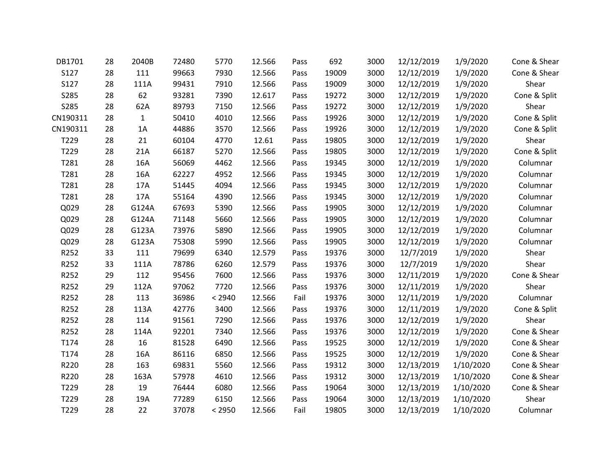| DB1701   | 28 | 2040B        | 72480 | 5770   | 12.566 | Pass | 692   | 3000 | 12/12/2019 | 1/9/2020  | Cone & Shear |
|----------|----|--------------|-------|--------|--------|------|-------|------|------------|-----------|--------------|
| S127     | 28 | 111          | 99663 | 7930   | 12.566 | Pass | 19009 | 3000 | 12/12/2019 | 1/9/2020  | Cone & Shear |
| S127     | 28 | 111A         | 99431 | 7910   | 12.566 | Pass | 19009 | 3000 | 12/12/2019 | 1/9/2020  | Shear        |
| S285     | 28 | 62           | 93281 | 7390   | 12.617 | Pass | 19272 | 3000 | 12/12/2019 | 1/9/2020  | Cone & Split |
| S285     | 28 | 62A          | 89793 | 7150   | 12.566 | Pass | 19272 | 3000 | 12/12/2019 | 1/9/2020  | Shear        |
| CN190311 | 28 | $\mathbf{1}$ | 50410 | 4010   | 12.566 | Pass | 19926 | 3000 | 12/12/2019 | 1/9/2020  | Cone & Split |
| CN190311 | 28 | 1A           | 44886 | 3570   | 12.566 | Pass | 19926 | 3000 | 12/12/2019 | 1/9/2020  | Cone & Split |
| T229     | 28 | 21           | 60104 | 4770   | 12.61  | Pass | 19805 | 3000 | 12/12/2019 | 1/9/2020  | Shear        |
| T229     | 28 | 21A          | 66187 | 5270   | 12.566 | Pass | 19805 | 3000 | 12/12/2019 | 1/9/2020  | Cone & Split |
| T281     | 28 | 16A          | 56069 | 4462   | 12.566 | Pass | 19345 | 3000 | 12/12/2019 | 1/9/2020  | Columnar     |
| T281     | 28 | 16A          | 62227 | 4952   | 12.566 | Pass | 19345 | 3000 | 12/12/2019 | 1/9/2020  | Columnar     |
| T281     | 28 | 17A          | 51445 | 4094   | 12.566 | Pass | 19345 | 3000 | 12/12/2019 | 1/9/2020  | Columnar     |
| T281     | 28 | 17A          | 55164 | 4390   | 12.566 | Pass | 19345 | 3000 | 12/12/2019 | 1/9/2020  | Columnar     |
| Q029     | 28 | G124A        | 67693 | 5390   | 12.566 | Pass | 19905 | 3000 | 12/12/2019 | 1/9/2020  | Columnar     |
| Q029     | 28 | G124A        | 71148 | 5660   | 12.566 | Pass | 19905 | 3000 | 12/12/2019 | 1/9/2020  | Columnar     |
| Q029     | 28 | G123A        | 73976 | 5890   | 12.566 | Pass | 19905 | 3000 | 12/12/2019 | 1/9/2020  | Columnar     |
| Q029     | 28 | G123A        | 75308 | 5990   | 12.566 | Pass | 19905 | 3000 | 12/12/2019 | 1/9/2020  | Columnar     |
| R252     | 33 | 111          | 79699 | 6340   | 12.579 | Pass | 19376 | 3000 | 12/7/2019  | 1/9/2020  | Shear        |
| R252     | 33 | 111A         | 78786 | 6260   | 12.579 | Pass | 19376 | 3000 | 12/7/2019  | 1/9/2020  | Shear        |
| R252     | 29 | 112          | 95456 | 7600   | 12.566 | Pass | 19376 | 3000 | 12/11/2019 | 1/9/2020  | Cone & Shear |
| R252     | 29 | 112A         | 97062 | 7720   | 12.566 | Pass | 19376 | 3000 | 12/11/2019 | 1/9/2020  | Shear        |
| R252     | 28 | 113          | 36986 | < 2940 | 12.566 | Fail | 19376 | 3000 | 12/11/2019 | 1/9/2020  | Columnar     |
| R252     | 28 | 113A         | 42776 | 3400   | 12.566 | Pass | 19376 | 3000 | 12/11/2019 | 1/9/2020  | Cone & Split |
| R252     | 28 | 114          | 91561 | 7290   | 12.566 | Pass | 19376 | 3000 | 12/12/2019 | 1/9/2020  | Shear        |
| R252     | 28 | 114A         | 92201 | 7340   | 12.566 | Pass | 19376 | 3000 | 12/12/2019 | 1/9/2020  | Cone & Shear |
| T174     | 28 | 16           | 81528 | 6490   | 12.566 | Pass | 19525 | 3000 | 12/12/2019 | 1/9/2020  | Cone & Shear |
| T174     | 28 | 16A          | 86116 | 6850   | 12.566 | Pass | 19525 | 3000 | 12/12/2019 | 1/9/2020  | Cone & Shear |
| R220     | 28 | 163          | 69831 | 5560   | 12.566 | Pass | 19312 | 3000 | 12/13/2019 | 1/10/2020 | Cone & Shear |
| R220     | 28 | 163A         | 57978 | 4610   | 12.566 | Pass | 19312 | 3000 | 12/13/2019 | 1/10/2020 | Cone & Shear |
| T229     | 28 | 19           | 76444 | 6080   | 12.566 | Pass | 19064 | 3000 | 12/13/2019 | 1/10/2020 | Cone & Shear |
| T229     | 28 | 19A          | 77289 | 6150   | 12.566 | Pass | 19064 | 3000 | 12/13/2019 | 1/10/2020 | Shear        |
| T229     | 28 | 22           | 37078 | < 2950 | 12.566 | Fail | 19805 | 3000 | 12/13/2019 | 1/10/2020 | Columnar     |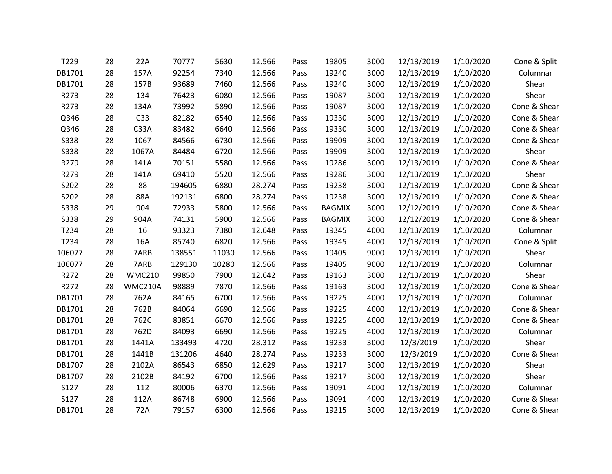| T229        | 28 | 22A           | 70777  | 5630  | 12.566 | Pass | 19805         | 3000 | 12/13/2019 | 1/10/2020 | Cone & Split |
|-------------|----|---------------|--------|-------|--------|------|---------------|------|------------|-----------|--------------|
| DB1701      | 28 | 157A          | 92254  | 7340  | 12.566 | Pass | 19240         | 3000 | 12/13/2019 | 1/10/2020 | Columnar     |
| DB1701      | 28 | 157B          | 93689  | 7460  | 12.566 | Pass | 19240         | 3000 | 12/13/2019 | 1/10/2020 | Shear        |
| R273        | 28 | 134           | 76423  | 6080  | 12.566 | Pass | 19087         | 3000 | 12/13/2019 | 1/10/2020 | Shear        |
| R273        | 28 | 134A          | 73992  | 5890  | 12.566 | Pass | 19087         | 3000 | 12/13/2019 | 1/10/2020 | Cone & Shear |
| Q346        | 28 | C33           | 82182  | 6540  | 12.566 | Pass | 19330         | 3000 | 12/13/2019 | 1/10/2020 | Cone & Shear |
| Q346        | 28 | C33A          | 83482  | 6640  | 12.566 | Pass | 19330         | 3000 | 12/13/2019 | 1/10/2020 | Cone & Shear |
| S338        | 28 | 1067          | 84566  | 6730  | 12.566 | Pass | 19909         | 3000 | 12/13/2019 | 1/10/2020 | Cone & Shear |
| S338        | 28 | 1067A         | 84484  | 6720  | 12.566 | Pass | 19909         | 3000 | 12/13/2019 | 1/10/2020 | Shear        |
| R279        | 28 | 141A          | 70151  | 5580  | 12.566 | Pass | 19286         | 3000 | 12/13/2019 | 1/10/2020 | Cone & Shear |
| R279        | 28 | 141A          | 69410  | 5520  | 12.566 | Pass | 19286         | 3000 | 12/13/2019 | 1/10/2020 | Shear        |
| S202        | 28 | 88            | 194605 | 6880  | 28.274 | Pass | 19238         | 3000 | 12/13/2019 | 1/10/2020 | Cone & Shear |
| S202        | 28 | 88A           | 192131 | 6800  | 28.274 | Pass | 19238         | 3000 | 12/13/2019 | 1/10/2020 | Cone & Shear |
| S338        | 29 | 904           | 72933  | 5800  | 12.566 | Pass | <b>BAGMIX</b> | 3000 | 12/12/2019 | 1/10/2020 | Cone & Shear |
| <b>S338</b> | 29 | 904A          | 74131  | 5900  | 12.566 | Pass | <b>BAGMIX</b> | 3000 | 12/12/2019 | 1/10/2020 | Cone & Shear |
| T234        | 28 | 16            | 93323  | 7380  | 12.648 | Pass | 19345         | 4000 | 12/13/2019 | 1/10/2020 | Columnar     |
| T234        | 28 | 16A           | 85740  | 6820  | 12.566 | Pass | 19345         | 4000 | 12/13/2019 | 1/10/2020 | Cone & Split |
| 106077      | 28 | 7ARB          | 138551 | 11030 | 12.566 | Pass | 19405         | 9000 | 12/13/2019 | 1/10/2020 | Shear        |
| 106077      | 28 | 7ARB          | 129130 | 10280 | 12.566 | Pass | 19405         | 9000 | 12/13/2019 | 1/10/2020 | Columnar     |
| R272        | 28 | <b>WMC210</b> | 99850  | 7900  | 12.642 | Pass | 19163         | 3000 | 12/13/2019 | 1/10/2020 | Shear        |
| R272        | 28 | WMC210A       | 98889  | 7870  | 12.566 | Pass | 19163         | 3000 | 12/13/2019 | 1/10/2020 | Cone & Shear |
| DB1701      | 28 | 762A          | 84165  | 6700  | 12.566 | Pass | 19225         | 4000 | 12/13/2019 | 1/10/2020 | Columnar     |
| DB1701      | 28 | 762B          | 84064  | 6690  | 12.566 | Pass | 19225         | 4000 | 12/13/2019 | 1/10/2020 | Cone & Shear |
| DB1701      | 28 | 762C          | 83851  | 6670  | 12.566 | Pass | 19225         | 4000 | 12/13/2019 | 1/10/2020 | Cone & Shear |
| DB1701      | 28 | 762D          | 84093  | 6690  | 12.566 | Pass | 19225         | 4000 | 12/13/2019 | 1/10/2020 | Columnar     |
| DB1701      | 28 | 1441A         | 133493 | 4720  | 28.312 | Pass | 19233         | 3000 | 12/3/2019  | 1/10/2020 | Shear        |
| DB1701      | 28 | 1441B         | 131206 | 4640  | 28.274 | Pass | 19233         | 3000 | 12/3/2019  | 1/10/2020 | Cone & Shear |
| DB1707      | 28 | 2102A         | 86543  | 6850  | 12.629 | Pass | 19217         | 3000 | 12/13/2019 | 1/10/2020 | Shear        |
| DB1707      | 28 | 2102B         | 84192  | 6700  | 12.566 | Pass | 19217         | 3000 | 12/13/2019 | 1/10/2020 | Shear        |
| S127        | 28 | 112           | 80006  | 6370  | 12.566 | Pass | 19091         | 4000 | 12/13/2019 | 1/10/2020 | Columnar     |
| <b>S127</b> | 28 | 112A          | 86748  | 6900  | 12.566 | Pass | 19091         | 4000 | 12/13/2019 | 1/10/2020 | Cone & Shear |
| DB1701      | 28 | 72A           | 79157  | 6300  | 12.566 | Pass | 19215         | 3000 | 12/13/2019 | 1/10/2020 | Cone & Shear |